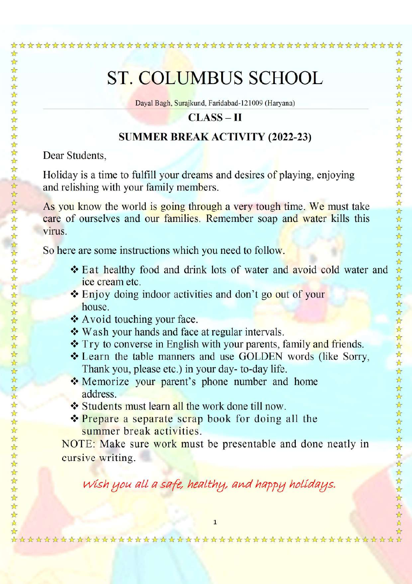# **ST. COLUMBUS SCHOOL**

Dayal Bagh, Surajkund, Faridabad-121009 (Haryana)

## $CLASS-II$

### **SUMMER BREAK ACTIVITY (2022-23)**

Dear Students.

☆☆☆☆☆☆☆☆☆☆☆☆☆

☆☆☆☆☆☆☆☆☆☆☆☆☆☆☆

ሌ

☆

本科

公

A

Holiday is a time to fulfill your dreams and desires of playing, enjoying and relishing with your family members.

As you know the world is going through a very tough time. We must take care of ourselves and our families. Remember soap and water kills this virus.

So here are some instructions which you need to follow.

- ❖ Eat healthy food and drink lots of water and avoid cold water and ice cream etc.
- ❖ Enjoy doing indoor activities and don't go out of your house.
- ❖ Avoid touching your face.
- ❖ Wash your hands and face at regular intervals.
- ❖ Try to converse in English with your parents, family and friends.
- ❖ Learn the table manners and use GOLDEN words (like Sorry, Thank you, please etc.) in your day-to-day life.
- Memorize your parent's phone number and home address.
- ❖ Students must learn all the work done till now.
- **Example 2** Prepare a separate scrap book for doing all the summer break activities.

NOTE: Make sure work must be presentable and done neatly in cursive writing.

Wish you all a safe, healthy, and happy holidays.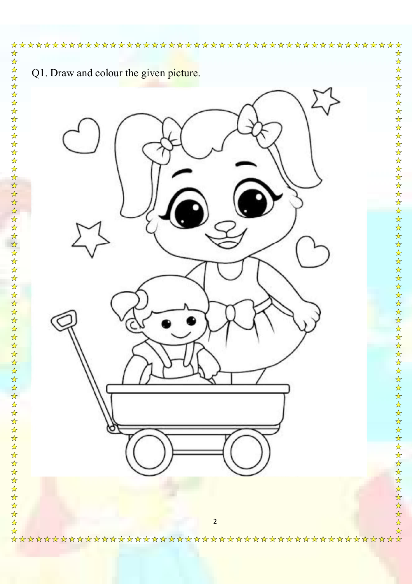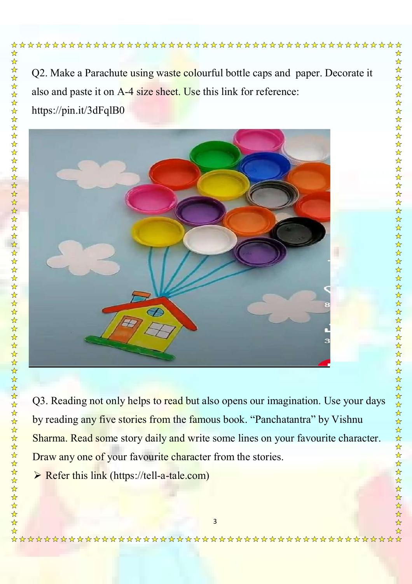# https://pin.it/3dFqlB0

Q2. Make a Parachute using waste colourful bottle caps and paper. Decorate it also and paste it on A-4 size sheet. Use this link for reference:



Q3. Reading not only helps to read but also opens our imagination. Use your days by reading any five stories from the famous book. "Panchatantra" by Vishnu Sharma. Read some story daily and write some lines on your favourite character. Draw any one of your favourite character from the stories.

 $\triangleright$  Refer this link (https://tell-a-tale.com)

\*\*\*\*\*\*\*\*\*\*\*\*\*\*\*\*\*\*\*\*\*\*\*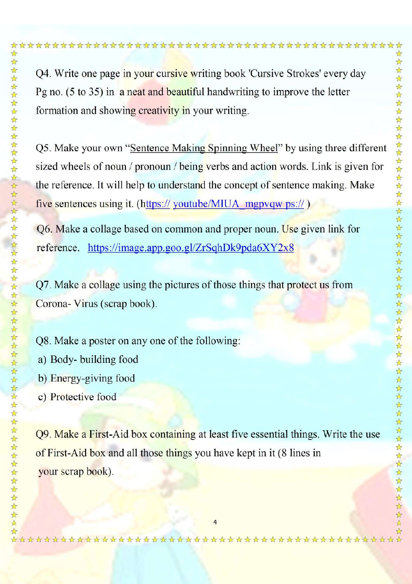2 经 

A A

Q4. Write one page in your cursive writing book 'Cursive Strokes' every day Pg no.  $(5 \text{ to } 35)$  in a neat and beautiful handwriting to improve the letter formation and showing creativity in your writing.

Q5. Make your own "Sentence Making Spinning Wheel" by using three different sized wheels of noun / pronoun / being verbs and action words. Link is given for the reference. It will help to understand the concept of sentence making. Make five sentences using it. (https:// youtube/MIUA mgpvqw ps://)

Q6. Make a collage based on common and proper noun. Use given link for reference. https://image.app.goo.gl/ZrSqhDk9pda6XY2x8

Q7. Make a collage using the pictures of those things that protect us from Corona- Virus (scrap book).

O8. Make a poster on any one of the following: a) Body-building food b) Energy-giving food c) Protective food

Q9. Make a First-Aid box containing at least five essential things. Write the use of First-Aid box and all those things you have kept in it (8 lines in your scrap book).

\*\*\*\*\*\*\*\*\*\*\*\*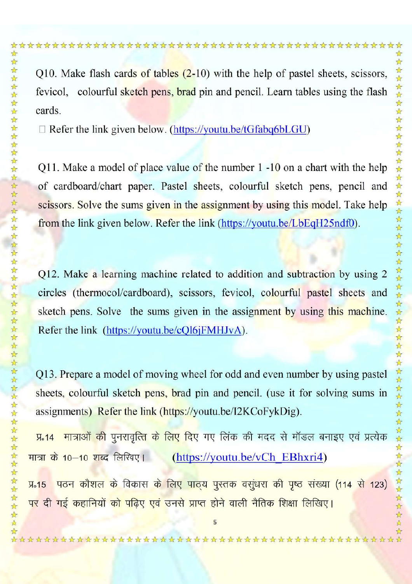Q10. Make flash cards of tables  $(2-10)$  with the help of pastel sheets, scissors, fevicol, colourful sketch pens, brad pin and pencil. Learn tables using the flash cards.

 $\Box$  Refer the link given below. (https://youtu.be/tGfabq6bLGU)

24 24

A

Q11. Make a model of place value of the number  $1 - 10$  on a chart with the help of cardboard/chart paper. Pastel sheets, colourful sketch pens, pencil and scissors. Solve the sums given in the assignment by using this model. Take help from the link given below. Refer the link (https://youtu.be/LbEqH25ndf0).

Q12. Make a learning machine related to addition and subtraction by using 2 circles (thermocol/cardboard), scissors, fevicol, colourful pastel sheets and sketch pens. Solve the sums given in the assignment by using this machine. Refer the link (https://youtu.be/cOl6iFMHJvA).

Q13. Prepare a model of moving wheel for odd and even number by using pastel sheets, colourful sketch pens, brad pin and pencil. (use it for solving sums in assignments) Refer the link (https://youtu.be/I2KCoFykDig).

<mark>मात्राओं की पुनरावृत्ति के लिए दिए गए लिंक की मदद से मॉडल बनाइए एवं प्रत्येक</mark>  $\sqrt{4.14}$ मात्रा के 10–10 शब्द लिखिए। (https://youtu.be/vCh EBhxri4)

पठन कौशल के विकास के लिए पाठ्य पुस्तक वसुंधरा की पृष्ठ संख्या (114 से 123)  $\Pi<sub>0</sub>15$ पर दी गई कहानियों को पढ़िए एवं उनसे प्राप्त होने वाली नैतिक शिक्षा लिखिए।